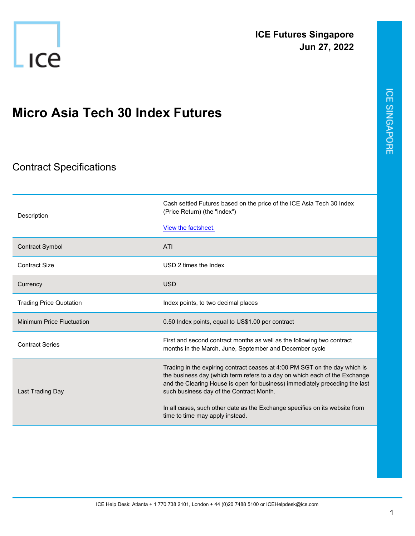

## **Micro Asia Tech 30 Index Futures**

## Contract Specifications

| Description                      | Cash settled Futures based on the price of the ICE Asia Tech 30 Index<br>(Price Return) (the "index")<br>View the factsheet.                                                                                                                                                                                                                                       |
|----------------------------------|--------------------------------------------------------------------------------------------------------------------------------------------------------------------------------------------------------------------------------------------------------------------------------------------------------------------------------------------------------------------|
| <b>Contract Symbol</b>           | ATI                                                                                                                                                                                                                                                                                                                                                                |
| Contract Size                    | USD 2 times the Index                                                                                                                                                                                                                                                                                                                                              |
| Currency                         | <b>USD</b>                                                                                                                                                                                                                                                                                                                                                         |
| <b>Trading Price Quotation</b>   | Index points, to two decimal places                                                                                                                                                                                                                                                                                                                                |
| <b>Minimum Price Fluctuation</b> | 0.50 Index points, equal to US\$1.00 per contract                                                                                                                                                                                                                                                                                                                  |
| <b>Contract Series</b>           | First and second contract months as well as the following two contract<br>months in the March, June, September and December cycle                                                                                                                                                                                                                                  |
| Last Trading Day                 | Trading in the expiring contract ceases at 4:00 PM SGT on the day which is<br>the business day (which term refers to a day on which each of the Exchange<br>and the Clearing House is open for business) immediately preceding the last<br>such business day of the Contract Month.<br>In all cases, such other date as the Exchange specifies on its website from |
|                                  | time to time may apply instead.                                                                                                                                                                                                                                                                                                                                    |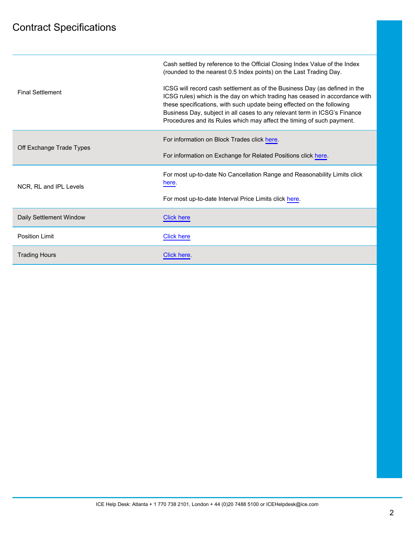## Contract Specifications

| <b>Final Settlement</b>  | Cash settled by reference to the Official Closing Index Value of the Index<br>(rounded to the nearest 0.5 Index points) on the Last Trading Day.<br>ICSG will record cash settlement as of the Business Day (as defined in the<br>ICSG rules) which is the day on which trading has ceased in accordance with<br>these specifications, with such update being effected on the following<br>Business Day, subject in all cases to any relevant term in ICSG's Finance<br>Procedures and its Rules which may affect the timing of such payment. |
|--------------------------|-----------------------------------------------------------------------------------------------------------------------------------------------------------------------------------------------------------------------------------------------------------------------------------------------------------------------------------------------------------------------------------------------------------------------------------------------------------------------------------------------------------------------------------------------|
| Off Exchange Trade Types | For information on Block Trades click here.                                                                                                                                                                                                                                                                                                                                                                                                                                                                                                   |
|                          | For information on Exchange for Related Positions click here.                                                                                                                                                                                                                                                                                                                                                                                                                                                                                 |
| NCR, RL and IPL Levels   | For most up-to-date No Cancellation Range and Reasonability Limits click<br>here.                                                                                                                                                                                                                                                                                                                                                                                                                                                             |
|                          | For most up-to-date Interval Price Limits click here.                                                                                                                                                                                                                                                                                                                                                                                                                                                                                         |
| Daily Settlement Window  | <b>Click here</b>                                                                                                                                                                                                                                                                                                                                                                                                                                                                                                                             |
| <b>Position Limit</b>    | <b>Click here</b>                                                                                                                                                                                                                                                                                                                                                                                                                                                                                                                             |
| <b>Trading Hours</b>     | Click here.                                                                                                                                                                                                                                                                                                                                                                                                                                                                                                                                   |